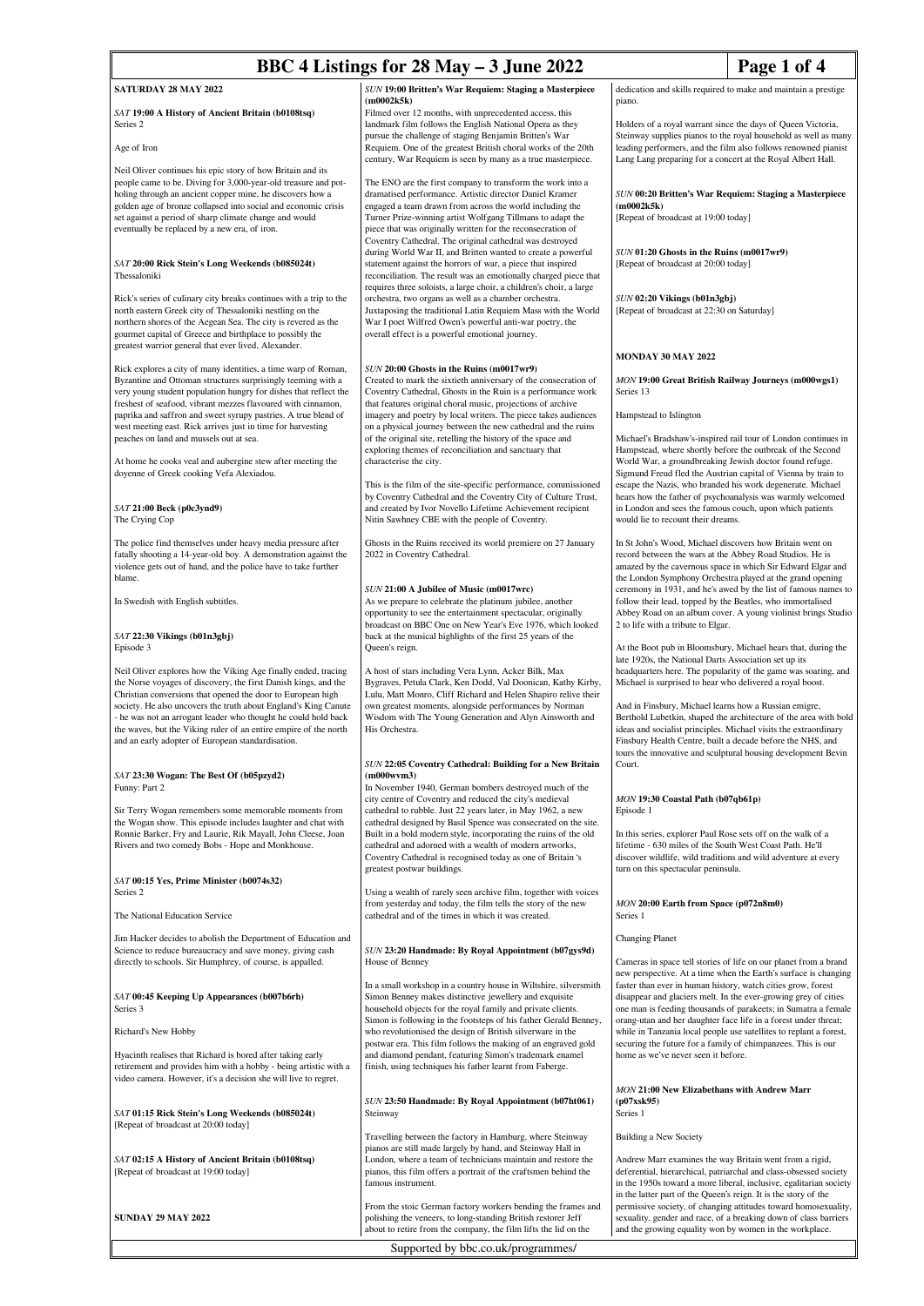# **BBC 4 Listings for 28 May – 3 June 2022** Page 1 of 4

## **SATURDAY 28 MAY 2022**

#### *SAT* **19:00 A History of Ancient Britain (b0108tsq)** Series 2

## Age of Iron

Neil Oliver continues his epic story of how Britain and its people came to be. Diving for 3,000-year-old treasure and potholing through an ancient copper mine, he discovers how a golden age of bronze collapsed into social and economic crisis set against a period of sharp climate change and would eventually be replaced by a new era, of iron.

#### *SAT* **20:00 Rick Stein's Long Weekends (b085024t)** Thessaloniki

Rick's series of culinary city breaks continues with a trip to the north eastern Greek city of Thessaloniki nestling on the northern shores of the Aegean Sea. The city is revered as the gourmet capital of Greece and birthplace to possibly the greatest warrior general that ever lived, Alexander.

Rick explores a city of many identities, a time warp of Roman, Byzantine and Ottoman structures surprisingly teeming with a very young student population hungry for dishes that reflect the freshest of seafood, vibrant mezzes flavoured with cinnamon, paprika and saffron and sweet syrupy pastries. A true blend of west meeting east. Rick arrives just in time for harvesting peaches on land and mussels out at sea.

At home he cooks veal and aubergine stew after meeting the doyenne of Greek cooking Vefa Alexiadou.

#### *SAT* **21:00 Beck (p0c3ynd9)** The Crying Cop

The police find themselves under heavy media pressure after fatally shooting a 14-year-old boy. A demonstration against the violence gets out of hand, and the police have to take further blame.

In Swedish with English subtitles.

## *SAT* **22:30 Vikings (b01n3gbj)** Episode 3

Neil Oliver explores how the Viking Age finally ended, tracing the Norse voyages of discovery, the first Danish kings, and the Christian conversions that opened the door to European high society. He also uncovers the truth about England's King Canute - he was not an arrogant leader who thought he could hold back the waves, but the Viking ruler of an entire empire of the north and an early adopter of European standardisation.

#### *SAT* **23:30 Wogan: The Best Of (b05pzyd2)** Funny: Part 2

Sir Terry Wogan remembers some memorable moments from the Wogan show. This episode includes laughter and chat with Ronnie Barker, Fry and Laurie, Rik Mayall, John Cleese, Joan Rivers and two comedy Bobs - Hope and Monkhouse.

#### *SAT* **00:15 Yes, Prime Minister (b0074s32)** Series 2

The National Education Service

Jim Hacker decides to abolish the Department of Education and Science to reduce bureaucracy and save money, giving cash directly to schools. Sir Humphrey, of course, is appalled.

### *SAT* **00:45 Keeping Up Appearances (b007b6rh)** Series 3

Richard's New Hobby

Hyacinth realises that Richard is bored after taking early retirement and provides him with a hobby - being artistic with a video camera. However, it's a decision she will live to regret.

*SAT* **01:15 Rick Stein's Long Weekends (b085024t)** [Repeat of broadcast at 20:00 today]

*SAT* **02:15 A History of Ancient Britain (b0108tsq)** [Repeat of broadcast at 19:00 today]

**SUNDAY 29 MAY 2022**

#### *SUN* **19:00 Britten's War Requiem: Staging a Masterpiece (m0002k5k)**

Filmed over 12 months, with unprecedented access, this landmark film follows the English National Opera as they pursue the challenge of staging Benjamin Britten's War Requiem. One of the greatest British choral works of the 20th century, War Requiem is seen by many as a true masterpiece.

The ENO are the first company to transform the work into a dramatised performance. Artistic director Daniel Kramer engaged a team drawn from across the world including the Turner Prize-winning artist Wolfgang Tillmans to adapt the piece that was originally written for the reconsecration of Coventry Cathedral. The original cathedral was destroyed during World War II, and Britten wanted to create a powerful statement against the horrors of war, a piece that inspired reconciliation. The result was an emotionally charged piece that requires three soloists, a large choir, a children's choir, a large orchestra, two organs as well as a chamber orchestra. Juxtaposing the traditional Latin Requiem Mass with the World War I poet Wilfred Owen's powerful anti-war poetry, the overall effect is a powerful emotional journey.

## *SUN* **20:00 Ghosts in the Ruins (m0017wr9)**

Created to mark the sixtieth anniversary of the consecration of Coventry Cathedral, Ghosts in the Ruin is a performance work that features original choral music, projections of archive imagery and poetry by local writers. The piece takes audiences on a physical journey between the new cathedral and the ruins of the original site, retelling the history of the space and exploring themes of reconciliation and sanctuary that characterise the city.

This is the film of the site-specific performance, commissioned by Coventry Cathedral and the Coventry City of Culture Trust, and created by Ivor Novello Lifetime Achievement recipient Nitin Sawhney CBE with the people of Coventry.

Ghosts in the Ruins received its world premiere on 27 January 2022 in Coventry Cathedral.

### *SUN* **21:00 A Jubilee of Music (m0017wrc)**

As we prepare to celebrate the platinum jubilee, another opportunity to see the entertainment spectacular, originally broadcast on BBC One on New Year's Eve 1976, which looked back at the musical highlights of the first 25 years of the Queen's reign.

A host of stars including Vera Lynn, Acker Bilk, Max Bygraves, Petula Clark, Ken Dodd, Val Doonican, Kathy Kirby, Lulu, Matt Monro, Cliff Richard and Helen Shapiro relive their own greatest moments, alongside performances by Norman Wisdom with The Young Generation and Alyn Ainsworth and His Orchestra.

#### *SUN* **22:05 Coventry Cathedral: Building for a New Britain (m000wvm3)**

In November 1940, German bombers destroyed much of the city centre of Coventry and reduced the city's medieval cathedral to rubble. Just 22 years later, in May 1962, a new cathedral designed by Basil Spence was consecrated on the site. Built in a bold modern style, incorporating the ruins of the old cathedral and adorned with a wealth of modern artworks, Coventry Cathedral is recognised today as one of Britain 's greatest postwar buildings.

Using a wealth of rarely seen archive film, together with voices from yesterday and today, the film tells the story of the new cathedral and of the times in which it was created.

#### *SUN* **23:20 Handmade: By Royal Appointment (b07gys9d)** House of Benney

In a small workshop in a country house in Wiltshire, silversmith Simon Benney makes distinctive jewellery and exquisite household objects for the royal family and private clients. Simon is following in the footsteps of his father Gerald Benney, who revolutionised the design of British silverware in the postwar era. This film follows the making of an engraved gold and diamond pendant, featuring Simon's trademark enamel finish, using techniques his father learnt from Faberge.

## *SUN* **23:50 Handmade: By Royal Appointment (b07ht061)** Steinway

Travelling between the factory in Hamburg, where Steinway pianos are still made largely by hand, and Steinway Hall in London, where a team of technicians maintain and restore the pianos, this film offers a portrait of the craftsmen behind the -<br>famous instrument

From the stoic German factory workers bending the frames and polishing the veneers, to long-standing British restorer Jeff about to retire from the company, the film lifts the lid on the

Supported by bbc.co.uk/programmes/

dedication and skills required to make and maintain a prestige piano.

Holders of a royal warrant since the days of Queen Victoria, Steinway supplies pianos to the royal household as well as many leading performers, and the film also follows renowned pianist Lang Lang preparing for a concert at the Royal Albert Hall.

*SUN* **00:20 Britten's War Requiem: Staging a Masterpiece (m0002k5k)** [Repeat of broadcast at 19:00 today]

*SUN* **01:20 Ghosts in the Ruins (m0017wr9)** [Repeat of broadcast at 20:00 today]

*SUN* **02:20 Vikings (b01n3gbj)** [Repeat of broadcast at 22:30 on Saturday]

## **MONDAY 30 MAY 2022**

*MON* **19:00 Great British Railway Journeys (m000wgs1)** Series 13

Hampstead to Islington

Michael's Bradshaw's-inspired rail tour of London continues in Hampstead, where shortly before the outbreak of the Second World War, a groundbreaking Jewish doctor found refuge. Sigmund Freud fled the Austrian capital of Vienna by train to escape the Nazis, who branded his work degenerate. Michael hears how the father of psychoanalysis was warmly welcomed in London and sees the famous couch, upon which patients would lie to recount their dreams.

In St John's Wood, Michael discovers how Britain went on record between the wars at the Abbey Road Studios. He is amazed by the cavernous space in which Sir Edward Elgar and the London Symphony Orchestra played at the grand opening  $c$ eremony in 1931, and he's awed by the list of famous names to follow their lead, topped by the Beatles, who immortalised Abbey Road on an album cover. A young violinist brings Studio 2 to life with a tribute to Elgar.

At the Boot pub in Bloomsbury, Michael hears that, during the late 1920s, the National Darts Association set up its headquarters here. The popularity of the game was soaring, and Michael is surprised to hear who delivered a royal boost.

And in Finsbury, Michael learns how a Russian emigre, Berthold Lubetkin, shaped the architecture of the area with bold ideas and socialist principles. Michael visits the extraordinary Finsbury Health Centre, built a decade before the NHS, and tours the innovative and sculptural housing development Bevin Court.

#### *MON* **19:30 Coastal Path (b07qb61p)** Episode 1

In this series, explorer Paul Rose sets off on the walk of a lifetime - 630 miles of the South West Coast Path. He'll discover wildlife, wild traditions and wild adventure at every turn on this spectacular peninsula.

#### *MON* **20:00 Earth from Space (p072n8m0)** Series 1

## Changing Planet

Cameras in space tell stories of life on our planet from a brand new perspective. At a time when the Earth's surface is changing faster than ever in human history, watch cities grow, forest disappear and glaciers melt. In the ever-growing grey of cities one man is feeding thousands of parakeets; in Sumatra a female orang-utan and her daughter face life in a forest under threat; while in Tanzania local people use satellites to replant a forest, securing the future for a family of chimpanzees. This is our home as we've never seen it before.

#### *MON* **21:00 New Elizabethans with Andrew Marr (p07xsk95)** Series 1

Building a New Society

Andrew Marr examines the way Britain went from a rigid, deferential, hierarchical, patriarchal and class-obsessed society in the 1950s toward a more liberal, inclusive, egalitarian society in the latter part of the Queen's reign. It is the story of the permissive society, of changing attitudes toward homosexuality, sexuality, gender and race, of a breaking down of class barriers and the growing equality won by women in the workplace.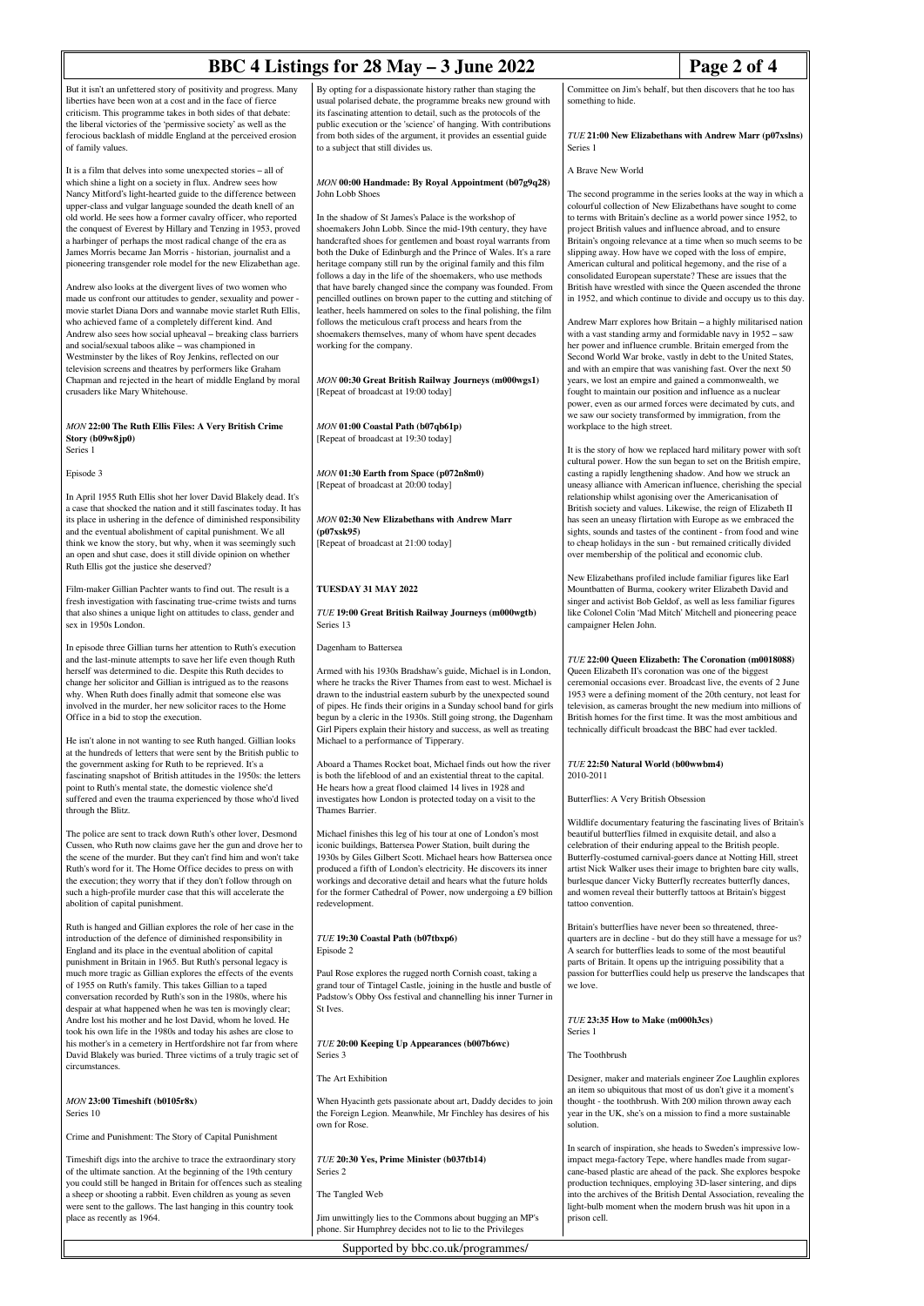#### **BBC 4 Listings for 28 May – 3 June 2022 Page 2 of 4** But it isn't an unfettered story of positivity and progress. Many liberties have been won at a cost and in the face of fierce criticism. This programme takes in both sides of that debate: the liberal victories of the 'permissive society' as well as the ferocious backlash of middle England at the perceived erosion of family values. It is a film that delves into some unexpected stories – all of which shine a light on a society in flux. Andrew sees how Nancy Mitford's light-hearted guide to the difference between upper-class and vulgar language sounded the death knell of an old world. He sees how a former cavalry officer, who reported the conquest of Everest by Hillary and Tenzing in 1953, proved a harbinger of perhaps the most radical change of the era as James Morris became Jan Morris - historian, journalist and a By opting for a dispassionate history rather than staging the usual polarised debate, the programme breaks new ground with its fascinating attention to detail, such as the protocols of the public execution or the 'science' of hanging. With contributions from both sides of the argument, it provides an essential guide to a subject that still divides us. *MON* **00:00 Handmade: By Royal Appointment (b07g9q28)** John Lobb Shoes In the shadow of St James's Palace is the workshop of shoemakers John Lobb. Since the mid-19th century, they have handcrafted shoes for gentlemen and boast royal warrants from Committee on Jim's behalf, but then discovers that he too has something to hide. Series 1 A Brave New World

Andrew also looks at the divergent lives of two women who made us confront our attitudes to gender, sexuality and power movie starlet Diana Dors and wannabe movie starlet Ruth Ellis, who achieved fame of a completely different kind. And Andrew also sees how social upheaval – breaking class barriers and social/sexual taboos alike – was championed in Westminster by the likes of Roy Jenkins, reflected on our television screens and theatres by performers like Graham Chapman and rejected in the heart of middle England by moral crusaders like Mary Whitehouse.

pioneering transgender role model for the new Elizabethan age.

#### *MON* **22:00 The Ruth Ellis Files: A Very British Crime Story (b09w8jp0)** Series 1

Episode 3

In April 1955 Ruth Ellis shot her lover David Blakely dead. It's a case that shocked the nation and it still fascinates today. It has its place in ushering in the defence of diminished responsibility and the eventual abolishment of capital punishment. We all think we know the story, but why, when it was seemingly such an open and shut case, does it still divide opinion on whether Ruth Ellis got the justice she deserved?

Film-maker Gillian Pachter wants to find out. The result is a fresh investigation with fascinating true-crime twists and turns that also shines a unique light on attitudes to class, gender and sex in 1950s London.

In episode three Gillian turns her attention to Ruth's execution and the last-minute attempts to save her life even though Ruth herself was determined to die. Despite this Ruth decides to change her solicitor and Gillian is intrigued as to the reasons why. When Ruth does finally admit that someone else was involved in the murder, her new solicitor races to the Home Office in a bid to stop the execution.

He isn't alone in not wanting to see Ruth hanged. Gillian looks at the hundreds of letters that were sent by the British public to the government asking for Ruth to be reprieved. It's a fascinating snapshot of British attitudes in the 1950s: the letters point to Ruth's mental state, the domestic violence she'd suffered and even the trauma experienced by those who'd lived through the Blitz.

The police are sent to track down Ruth's other lover, Desmond Cussen, who Ruth now claims gave her the gun and drove her to the scene of the murder. But they can't find him and won't take Ruth's word for it. The Home Office decides to press on with the execution; they worry that if they don't follow through on such a high-profile murder case that this will accelerate the abolition of capital punishment.

Ruth is hanged and Gillian explores the role of her case in the introduction of the defence of diminished responsibility in England and its place in the eventual abolition of capital punishment in Britain in 1965. But Ruth's personal legacy is much more tragic as Gillian explores the effects of the events of 1955 on Ruth's family. This takes Gillian to a taped conversation recorded by Ruth's son in the 1980s, where his despair at what happened when he was ten is movingly clear; Andre lost his mother and he lost David, whom he loved. He took his own life in the 1980s and today his ashes are close to his mother's in a cemetery in Hertfordshire not far from where David Blakely was buried. Three victims of a truly tragic set of circumstances.

*MON* **23:00 Timeshift (b0105r8x)** Series 10

Crime and Punishment: The Story of Capital Punishment

Timeshift digs into the archive to trace the extraordinary story of the ultimate sanction. At the beginning of the 19th century you could still be hanged in Britain for offences such as stealing a sheep or shooting a rabbit. Even children as young as seven were sent to the gallows. The last hanging in this country took place as recently as 1964.

both the Duke of Edinburgh and the Prince of Wales. It's a rare heritage company still run by the original family and this film follows a day in the life of the shoemakers, who use methods that have barely changed since the company was founded. From pencilled outlines on brown paper to the cutting and stitching of leather, heels hammered on soles to the final polishing, the film follows the meticulous craft process and hears from the shoemakers themselves, many of whom have spent decades working for the company.

*MON* **00:30 Great British Railway Journeys (m000wgs1)** [Repeat of broadcast at 19:00 today]

*MON* **01:00 Coastal Path (b07qb61p)** [Repeat of broadcast at 19:30 today]

*MON* **01:30 Earth from Space (p072n8m0)** [Repeat of broadcast at 20:00 today]

*MON* **02:30 New Elizabethans with Andrew Marr (p07xsk95)** [Repeat of broadcast at 21:00 today]

## **TUESDAY 31 MAY 2022**

*TUE* **19:00 Great British Railway Journeys (m000wgtb)** Series 13

Dagenham to Battersea

Armed with his 1930s Bradshaw's guide, Michael is in London, where he tracks the River Thames from east to west. Michael is drawn to the industrial eastern suburb by the unexpected sound of pipes. He finds their origins in a Sunday school band for girls begun by a cleric in the 1930s. Still going strong, the Dagenham Girl Pipers explain their history and success, as well as treating Michael to a performance of Tipperary.

Aboard a Thames Rocket boat, Michael finds out how the river is both the lifeblood of and an existential threat to the capital. He hears how a great flood claimed 14 lives in 1928 and investigates how London is protected today on a visit to the Thames Barrier.

Michael finishes this leg of his tour at one of London's most iconic buildings, Battersea Power Station, built during the 1930s by Giles Gilbert Scott. Michael hears how Battersea once produced a fifth of London's electricity. He discovers its inner workings and decorative detail and hears what the future holds for the former Cathedral of Power, now undergoing a £9 billion redevelopment.

#### *TUE* **19:30 Coastal Path (b07tbxp6)** Episode 2

Paul Rose explores the rugged north Cornish coast, taking a grand tour of Tintagel Castle, joining in the hustle and bustle of Padstow's Obby Oss festival and channelling his inner Turner in St Ives.

*TUE* **20:00 Keeping Up Appearances (b007b6wc)** Series 3

The Art Exhibition

When Hyacinth gets passionate about art, Daddy decides to join the Foreign Legion. Meanwhile, Mr Finchley has desires of his own for Rose.

*TUE* **20:30 Yes, Prime Minister (b037tb14)** Series 2

The Tangled Web

Jim unwittingly lies to the Commons about bugging an MP's phone. Sir Humphrey decides not to lie to the Privileges

*TUE* **21:00 New Elizabethans with Andrew Marr (p07xslns)**

The second programme in the series looks at the way in which a colourful collection of New Elizabethans have sought to comto terms with Britain's decline as a world power since 1952, to project British values and influence abroad, and to ensure Britain's ongoing relevance at a time when so much seems to slipping away. How have we coped with the loss of empire, American cultural and political hegemony, and the rise of a consolidated European superstate? These are issues that the British have wrestled with since the Queen ascended the throne in 1952, and which continue to divide and occupy us to this day.

Andrew Marr explores how Britain – a highly militarised nation with a vast standing army and formidable navy in 1952 – saw her power and influence crumble. Britain emerged from the Second World War broke, vastly in debt to the United States, and with an empire that was vanishing fast. Over the next 50 years, we lost an empire and gained a commonwealth, we fought to maintain our position and influence as a nuclear power, even as our armed forces were decimated by cuts, and we saw our society transformed by immigration, from the workplace to the high street.

It is the story of how we replaced hard military power with soft cultural power. How the sun began to set on the British empire, casting a rapidly lengthening shadow. And how we struck an uneasy alliance with American influence, cherishing the special relationship whilst agonising over the Americanisation of British society and values. Likewise, the reign of Elizabeth II has seen an uneasy flirtation with Europe as we embraced the sights, sounds and tastes of the continent - from food and wine to cheap holidays in the sun - but remained critically divided over membership of the political and economic club.

New Elizabethans profiled include familiar figures like Earl Mountbatten of Burma, cookery writer Elizabeth David and singer and activist Bob Geldof, as well as less familiar figures like Colonel Colin 'Mad Mitch' Mitchell and pioneering peace campaigner Helen John.

*TUE* **22:00 Queen Elizabeth: The Coronation (m0018088)**

Queen Elizabeth II's coronation was one of the biggest ceremonial occasions ever. Broadcast live, the events of 2 June 1953 were a defining moment of the 20th century, not least for television, as cameras brought the new medium into millions of British homes for the first time. It was the most ambitious and technically difficult broadcast the BBC had ever tackled.

*TUE* **22:50 Natural World (b00wwbm4)** 2010-2011

Butterflies: A Very British Obsession

Wildlife documentary featuring the fascinating lives of Britain's beautiful butterflies filmed in exquisite detail, and also a celebration of their enduring appeal to the British people. Butterfly-costumed carnival-goers dance at Notting Hill, street artist Nick Walker uses their image to brighten bare city walls, burlesque dancer Vicky Butterfly recreates butterfly dances. and women reveal their butterfly tattoos at Britain's biggest tattoo convention.

Britain's butterflies have never been so threatened, threequarters are in decline - but do they still have a message for us? A search for butterflies leads to some of the most beautiful parts of Britain. It opens up the intriguing possibility that a passion for butterflies could help us preserve the landscapes that we love.

*TUE* **23:35 How to Make (m000h3cs)** Series 1

The Toothbrush

Designer, maker and materials engineer Zoe Laughlin explores an item so ubiquitous that most of us don't give it a moment's thought - the toothbrush. With 200 milion thrown away each year in the UK, she's on a mission to find a more sustainable solution.

In search of inspiration, she heads to Sweden's impressive lowimpact mega-factory Tepe, where handles made from sugarcane-based plastic are ahead of the pack. She explores bespoke production techniques, employing 3D-laser sintering, and dips into the archives of the British Dental Association, revealing the light-bulb moment when the modern brush was hit upon in a prison cell.

Supported by bbc.co.uk/programmes/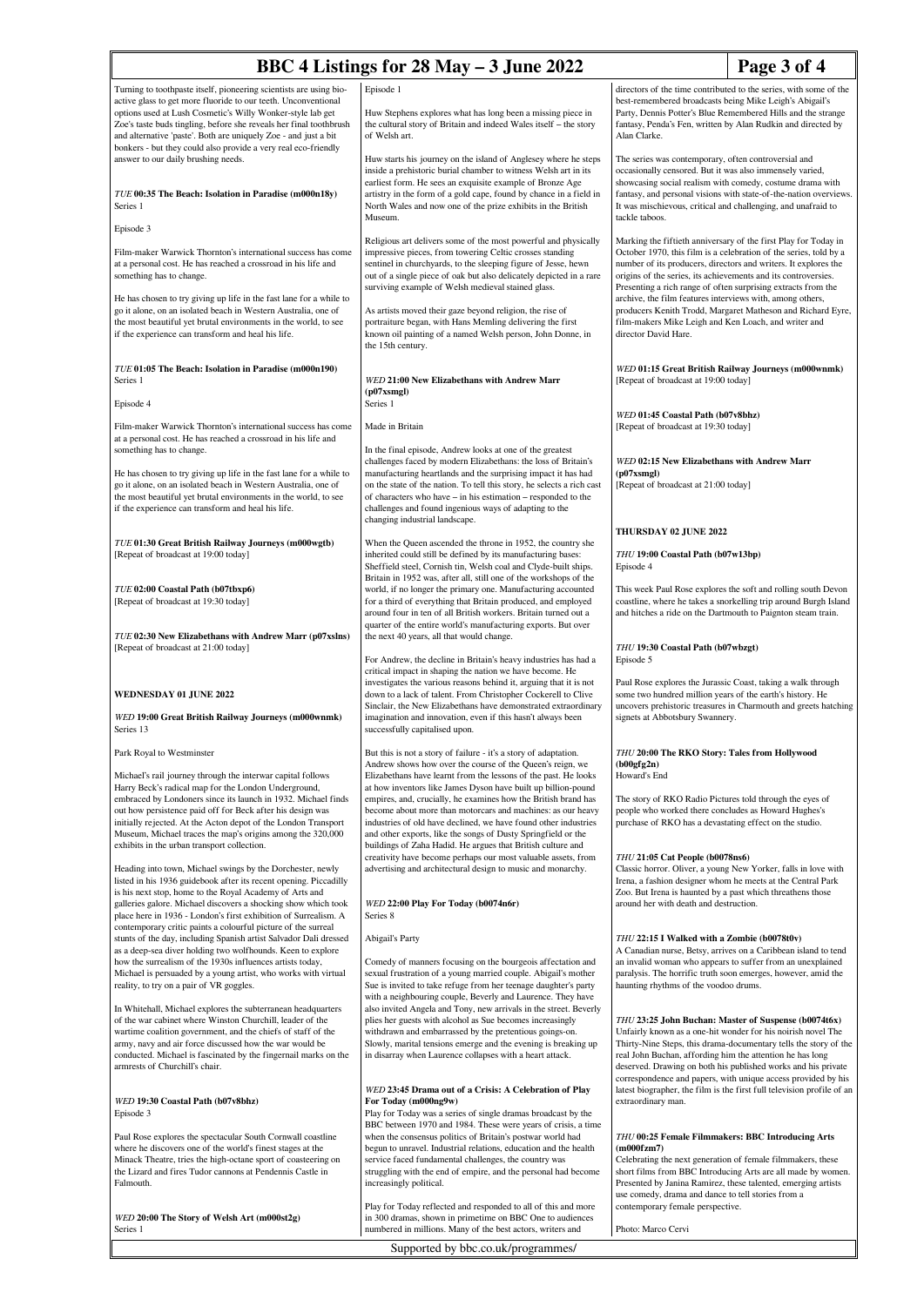| BBC 4 Listings for 28 May - 3 June 2022                                                                                                                                                                                                                        |                                                                                                                                                                                                                                                                   |                                                                                                                                                                                                                                                                                                                                                                                                                                                                                     |  |  |
|----------------------------------------------------------------------------------------------------------------------------------------------------------------------------------------------------------------------------------------------------------------|-------------------------------------------------------------------------------------------------------------------------------------------------------------------------------------------------------------------------------------------------------------------|-------------------------------------------------------------------------------------------------------------------------------------------------------------------------------------------------------------------------------------------------------------------------------------------------------------------------------------------------------------------------------------------------------------------------------------------------------------------------------------|--|--|
| Turning to toothpaste itself, pioneering scientists are using bio-<br>active glass to get more fluoride to our teeth. Unconventional<br>options used at Lush Cosmetic's Willy Wonker-style lab get                                                             | Episode 1<br>Huw Stephens explores what has long been a missing piece in                                                                                                                                                                                          | Page 3 of 4<br>directors of the time contributed to the series, with some of the<br>best-remembered broadcasts being Mike Leigh's Abigail's<br>Party, Dennis Potter's Blue Remembered Hills and the strange                                                                                                                                                                                                                                                                         |  |  |
| Zoe's taste buds tingling, before she reveals her final toothbrush<br>and alternative 'paste'. Both are uniquely Zoe - and just a bit<br>bonkers - but they could also provide a very real eco-friendly                                                        | the cultural story of Britain and indeed Wales itself - the story<br>of Welsh art.                                                                                                                                                                                | fantasy, Penda's Fen, written by Alan Rudkin and directed by<br>Alan Clarke.                                                                                                                                                                                                                                                                                                                                                                                                        |  |  |
| answer to our daily brushing needs.                                                                                                                                                                                                                            | Huw starts his journey on the island of Anglesey where he steps<br>inside a prehistoric burial chamber to witness Welsh art in its<br>earliest form. He sees an exquisite example of Bronze Age                                                                   | The series was contemporary, often controversial and<br>occasionally censored. But it was also immensely varied,<br>showcasing social realism with comedy, costume drama with                                                                                                                                                                                                                                                                                                       |  |  |
| TUE 00:35 The Beach: Isolation in Paradise (m000n18y)<br>Series 1                                                                                                                                                                                              | artistry in the form of a gold cape, found by chance in a field in<br>North Wales and now one of the prize exhibits in the British<br>Museum.                                                                                                                     | fantasy, and personal visions with state-of-the-nation overviews.<br>It was mischievous, critical and challenging, and unafraid to<br>tackle taboos.                                                                                                                                                                                                                                                                                                                                |  |  |
| Episode 3                                                                                                                                                                                                                                                      | Religious art delivers some of the most powerful and physically<br>impressive pieces, from towering Celtic crosses standing                                                                                                                                       | Marking the fiftieth anniversary of the first Play for Today in                                                                                                                                                                                                                                                                                                                                                                                                                     |  |  |
| Film-maker Warwick Thornton's international success has come<br>at a personal cost. He has reached a crossroad in his life and<br>something has to change.                                                                                                     | sentinel in churchyards, to the sleeping figure of Jesse, hewn<br>out of a single piece of oak but also delicately depicted in a rare<br>surviving example of Welsh medieval stained glass.                                                                       | October 1970, this film is a celebration of the series, told by a<br>number of its producers, directors and writers. It explores the<br>origins of the series, its achievements and its controversies.<br>Presenting a rich range of often surprising extracts from the<br>archive, the film features interviews with, among others,<br>producers Kenith Trodd, Margaret Matheson and Richard Eyre,<br>film-makers Mike Leigh and Ken Loach, and writer and<br>director David Hare. |  |  |
| He has chosen to try giving up life in the fast lane for a while to<br>go it alone, on an isolated beach in Western Australia, one of<br>the most beautiful yet brutal environments in the world, to see<br>if the experience can transform and heal his life. | As artists moved their gaze beyond religion, the rise of<br>portraiture began, with Hans Memling delivering the first<br>known oil painting of a named Welsh person, John Donne, in<br>the 15th century.                                                          |                                                                                                                                                                                                                                                                                                                                                                                                                                                                                     |  |  |
| TUE 01:05 The Beach: Isolation in Paradise (m000n190)<br>Series 1<br>Episode 4                                                                                                                                                                                 | WED 21:00 New Elizabethans with Andrew Marr<br>(p07xsmgl)<br>Series 1                                                                                                                                                                                             | WED 01:15 Great British Railway Journeys (m000wnmk)<br>[Repeat of broadcast at 19:00 today]                                                                                                                                                                                                                                                                                                                                                                                         |  |  |
| Film-maker Warwick Thornton's international success has come                                                                                                                                                                                                   | Made in Britain                                                                                                                                                                                                                                                   | WED 01:45 Coastal Path (b07v8bhz)                                                                                                                                                                                                                                                                                                                                                                                                                                                   |  |  |
| at a personal cost. He has reached a crossroad in his life and<br>something has to change.                                                                                                                                                                     | In the final episode, Andrew looks at one of the greatest<br>challenges faced by modern Elizabethans: the loss of Britain's                                                                                                                                       | [Repeat of broadcast at 19:30 today]<br>WED 02:15 New Elizabethans with Andrew Marr                                                                                                                                                                                                                                                                                                                                                                                                 |  |  |
| He has chosen to try giving up life in the fast lane for a while to<br>go it alone, on an isolated beach in Western Australia, one of                                                                                                                          | manufacturing heartlands and the surprising impact it has had<br>on the state of the nation. To tell this story, he selects a rich cast                                                                                                                           | (p07xsmgl)<br>[Repeat of broadcast at 21:00 today]                                                                                                                                                                                                                                                                                                                                                                                                                                  |  |  |
| the most beautiful yet brutal environments in the world, to see<br>if the experience can transform and heal his life.                                                                                                                                          | of characters who have – in his estimation – responded to the<br>challenges and found ingenious ways of adapting to the<br>changing industrial landscape.                                                                                                         |                                                                                                                                                                                                                                                                                                                                                                                                                                                                                     |  |  |
| TUE 01:30 Great British Railway Journeys (m000wgtb)                                                                                                                                                                                                            | When the Queen ascended the throne in 1952, the country she                                                                                                                                                                                                       | THURSDAY 02 JUNE 2022                                                                                                                                                                                                                                                                                                                                                                                                                                                               |  |  |
| [Repeat of broadcast at 19:00 today]                                                                                                                                                                                                                           | inherited could still be defined by its manufacturing bases:<br>Sheffield steel, Cornish tin, Welsh coal and Clyde-built ships.<br>Britain in 1952 was, after all, still one of the workshops of the                                                              | THU 19:00 Coastal Path (b07w13bp)<br>Episode 4                                                                                                                                                                                                                                                                                                                                                                                                                                      |  |  |
| TUE 02:00 Coastal Path (b07tbxp6)<br>[Repeat of broadcast at 19:30 today]                                                                                                                                                                                      | world, if no longer the primary one. Manufacturing accounted<br>for a third of everything that Britain produced, and employed<br>around four in ten of all British workers. Britain turned out a<br>quarter of the entire world's manufacturing exports. But over | This week Paul Rose explores the soft and rolling south Devon<br>coastline, where he takes a snorkelling trip around Burgh Island<br>and hitches a ride on the Dartmouth to Paignton steam train.                                                                                                                                                                                                                                                                                   |  |  |
| TUE 02:30 New Elizabethans with Andrew Marr (p07xslns)<br>[Repeat of broadcast at 21:00 today]                                                                                                                                                                 | the next 40 years, all that would change.                                                                                                                                                                                                                         | THU 19:30 Coastal Path (b07wbzgt)                                                                                                                                                                                                                                                                                                                                                                                                                                                   |  |  |
|                                                                                                                                                                                                                                                                | For Andrew, the decline in Britain's heavy industries has had a<br>critical impact in shaping the nation we have become. He                                                                                                                                       | Episode 5                                                                                                                                                                                                                                                                                                                                                                                                                                                                           |  |  |
| WEDNESDAY 01 JUNE 2022                                                                                                                                                                                                                                         | investigates the various reasons behind it, arguing that it is not<br>down to a lack of talent. From Christopher Cockerell to Clive<br>Sinclair, the New Elizabethans have demonstrated extraordinary                                                             | Paul Rose explores the Jurassic Coast, taking a walk through<br>some two hundred million years of the earth's history. He<br>uncovers prehistoric treasures in Charmouth and greets hatching                                                                                                                                                                                                                                                                                        |  |  |
| WED 19:00 Great British Railway Journeys (m000wnmk)<br>Series 13                                                                                                                                                                                               | imagination and innovation, even if this hasn't always been<br>successfully capitalised upon.                                                                                                                                                                     | signets at Abbotsbury Swannery.                                                                                                                                                                                                                                                                                                                                                                                                                                                     |  |  |
| Park Royal to Westminster<br>Michael's rail journey through the interwar capital follows                                                                                                                                                                       | But this is not a story of failure - it's a story of adaptation.<br>Andrew shows how over the course of the Queen's reign, we<br>Elizabethans have learnt from the lessons of the past. He looks                                                                  | THU 20:00 The RKO Story: Tales from Hollywood<br>(b00gfg2n)<br>Howard's End                                                                                                                                                                                                                                                                                                                                                                                                         |  |  |
| Harry Beck's radical map for the London Underground,<br>embraced by Londoners since its launch in 1932. Michael finds                                                                                                                                          | at how inventors like James Dyson have built up billion-pound<br>empires, and, crucially, he examines how the British brand has                                                                                                                                   | The story of RKO Radio Pictures told through the eyes of                                                                                                                                                                                                                                                                                                                                                                                                                            |  |  |
| out how persistence paid off for Beck after his design was<br>initially rejected. At the Acton depot of the London Transport<br>Museum, Michael traces the map's origins among the 320,000                                                                     | become about more than motorcars and machines: as our heavy<br>industries of old have declined, we have found other industries<br>and other exports, like the songs of Dusty Springfield or the                                                                   | people who worked there concludes as Howard Hughes's<br>purchase of RKO has a devastating effect on the studio.                                                                                                                                                                                                                                                                                                                                                                     |  |  |
| exhibits in the urban transport collection.                                                                                                                                                                                                                    | buildings of Zaha Hadid. He argues that British culture and<br>creativity have become perhaps our most valuable assets, from                                                                                                                                      | THU 21:05 Cat People (b0078ns6)                                                                                                                                                                                                                                                                                                                                                                                                                                                     |  |  |
| Heading into town, Michael swings by the Dorchester, newly<br>listed in his 1936 guidebook after its recent opening. Piccadilly                                                                                                                                | advertising and architectural design to music and monarchy.                                                                                                                                                                                                       | Classic horror. Oliver, a young New Yorker, falls in love with<br>Irena, a fashion designer whom he meets at the Central Park                                                                                                                                                                                                                                                                                                                                                       |  |  |
| is his next stop, home to the Royal Academy of Arts and<br>galleries galore. Michael discovers a shocking show which took<br>place here in 1936 - London's first exhibition of Surrealism. A<br>contemporary critic paints a colourful picture of the surreal  | WED 22:00 Play For Today (b0074n6r)<br>Series 8                                                                                                                                                                                                                   | Zoo. But Irena is haunted by a past which threathens those<br>around her with death and destruction.                                                                                                                                                                                                                                                                                                                                                                                |  |  |
| stunts of the day, including Spanish artist Salvador Dali dressed<br>as a deep-sea diver holding two wolfhounds. Keen to explore                                                                                                                               | Abigail's Party                                                                                                                                                                                                                                                   | THU 22:15 I Walked with a Zombie (b0078t0v)<br>A Canadian nurse, Betsy, arrives on a Caribbean island to tend                                                                                                                                                                                                                                                                                                                                                                       |  |  |
| how the surrealism of the 1930s influences artists today,<br>Michael is persuaded by a young artist, who works with virtual<br>reality, to try on a pair of VR goggles.                                                                                        | Comedy of manners focusing on the bourgeois affectation and<br>sexual frustration of a young married couple. Abigail's mother<br>Sue is invited to take refuge from her teenage daughter's party                                                                  | an invalid woman who appears to suffer from an unexplained<br>paralysis. The horrific truth soon emerges, however, amid the<br>haunting rhythms of the voodoo drums.                                                                                                                                                                                                                                                                                                                |  |  |
| In Whitehall, Michael explores the subterranean headquarters<br>of the war cabinet where Winston Churchill, leader of the                                                                                                                                      | with a neighbouring couple, Beverly and Laurence. They have<br>also invited Angela and Tony, new arrivals in the street. Beverly<br>plies her guests with alcohol as Sue becomes increasingly                                                                     | THU 23:25 John Buchan: Master of Suspense (b0074t6x)                                                                                                                                                                                                                                                                                                                                                                                                                                |  |  |
| wartime coalition government, and the chiefs of staff of the<br>army, navy and air force discussed how the war would be                                                                                                                                        | withdrawn and embarrassed by the pretentious goings-on.<br>Slowly, marital tensions emerge and the evening is breaking up                                                                                                                                         | Unfairly known as a one-hit wonder for his noirish novel The<br>Thirty-Nine Steps, this drama-documentary tells the story of the                                                                                                                                                                                                                                                                                                                                                    |  |  |
| conducted. Michael is fascinated by the fingernail marks on the<br>armrests of Churchill's chair.                                                                                                                                                              | in disarray when Laurence collapses with a heart attack.                                                                                                                                                                                                          | real John Buchan, affording him the attention he has long<br>deserved. Drawing on both his published works and his private<br>correspondence and papers, with unique access provided by his                                                                                                                                                                                                                                                                                         |  |  |
| WED 19:30 Coastal Path (b07v8bhz)<br>Episode 3                                                                                                                                                                                                                 | WED 23:45 Drama out of a Crisis: A Celebration of Play<br>For Today (m000ng9w)<br>Play for Today was a series of single dramas broadcast by the                                                                                                                   | latest biographer, the film is the first full television profile of an<br>extraordinary man.                                                                                                                                                                                                                                                                                                                                                                                        |  |  |
| Paul Rose explores the spectacular South Cornwall coastline                                                                                                                                                                                                    | BBC between 1970 and 1984. These were years of crisis, a time<br>when the consensus politics of Britain's postwar world had                                                                                                                                       | THU 00:25 Female Filmmakers: BBC Introducing Arts                                                                                                                                                                                                                                                                                                                                                                                                                                   |  |  |
| where he discovers one of the world's finest stages at the<br>Minack Theatre, tries the high-octane sport of coasteering on                                                                                                                                    | begun to unravel. Industrial relations, education and the health<br>service faced fundamental challenges, the country was                                                                                                                                         | (m000fzm7)<br>Celebrating the next generation of female filmmakers, these                                                                                                                                                                                                                                                                                                                                                                                                           |  |  |
| the Lizard and fires Tudor cannons at Pendennis Castle in<br>Falmouth.                                                                                                                                                                                         | struggling with the end of empire, and the personal had become<br>increasingly political.                                                                                                                                                                         | short films from BBC Introducing Arts are all made by women.<br>Presented by Janina Ramirez, these talented, emerging artists<br>use comedy, drama and dance to tell stories from a                                                                                                                                                                                                                                                                                                 |  |  |
| WED 20:00 The Story of Welsh Art (m000st2g)<br>Series 1                                                                                                                                                                                                        | Play for Today reflected and responded to all of this and more<br>in 300 dramas, shown in primetime on BBC One to audiences<br>numbered in millions. Many of the best actors, writers and                                                                         | contemporary female perspective.<br>Photo: Marco Cervi                                                                                                                                                                                                                                                                                                                                                                                                                              |  |  |

Supported by bbc.co.uk/programmes/